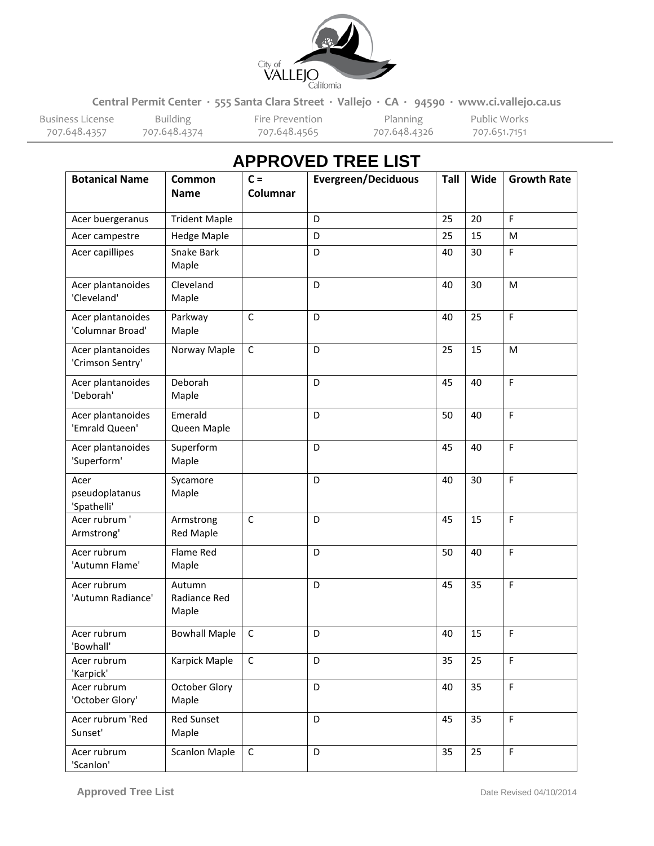

**Central Permit Center ∙ 555 Santa Clara Street ∙ Vallejo ∙ CA ∙ 94590 ∙ www.ci.vallejo.ca.us**

Business License Building Fire Prevention Planning Public Works

707.648.4374

| <b>Botanical Name</b>                 | Common<br><b>Name</b>           | $C =$<br>Columnar | <b>Evergreen/Deciduous</b> | Tall | Wide | <b>Growth Rate</b> |
|---------------------------------------|---------------------------------|-------------------|----------------------------|------|------|--------------------|
| Acer buergeranus                      | <b>Trident Maple</b>            |                   | D                          | 25   | 20   | F                  |
| Acer campestre                        | <b>Hedge Maple</b>              |                   | D                          | 25   | 15   | M                  |
| Acer capillipes                       | Snake Bark<br>Maple             |                   | D                          | 40   | 30   | F                  |
| Acer plantanoides<br>'Cleveland'      | Cleveland<br>Maple              |                   | D                          | 40   | 30   | M                  |
| Acer plantanoides<br>'Columnar Broad' | Parkway<br>Maple                | $\mathsf{C}$      | D                          | 40   | 25   | F                  |
| Acer plantanoides<br>'Crimson Sentry' | Norway Maple                    | $\mathsf C$       | D                          | 25   | 15   | M                  |
| Acer plantanoides<br>'Deborah'        | Deborah<br>Maple                |                   | D                          | 45   | 40   | F                  |
| Acer plantanoides<br>'Emrald Queen'   | Emerald<br>Queen Maple          |                   | D                          | 50   | 40   | F                  |
| Acer plantanoides<br>'Superform'      | Superform<br>Maple              |                   | D                          | 45   | 40   | F                  |
| Acer<br>pseudoplatanus<br>'Spathelli' | Sycamore<br>Maple               |                   | D                          | 40   | 30   | F                  |
| Acer rubrum '<br>Armstrong'           | Armstrong<br><b>Red Maple</b>   | $\mathsf{C}$      | D                          | 45   | 15   | F                  |
| Acer rubrum<br>'Autumn Flame'         | Flame Red<br>Maple              |                   | D                          | 50   | 40   | F                  |
| Acer rubrum<br>'Autumn Radiance'      | Autumn<br>Radiance Red<br>Maple |                   | D                          | 45   | 35   | F                  |
| Acer rubrum<br>'Bowhall'              | <b>Bowhall Maple</b>            | $\mathsf C$       | D                          | 40   | 15   | F                  |
| Acer rubrum<br>'Karpick'              | Karpick Maple                   | $\mathsf C$       | D                          | 35   | 25   | F.                 |
| Acer rubrum<br>'October Glory'        | October Glory<br>Maple          |                   | D                          | 40   | 35   | F.                 |
| Acer rubrum 'Red<br>Sunset'           | <b>Red Sunset</b><br>Maple      |                   | D                          | 45   | 35   | F.                 |
| Acer rubrum<br>'Scanlon'              | <b>Scanlon Maple</b>            | $\mathsf C$       | D                          | 35   | 25   | F                  |

## **APPROVED TREE LIST**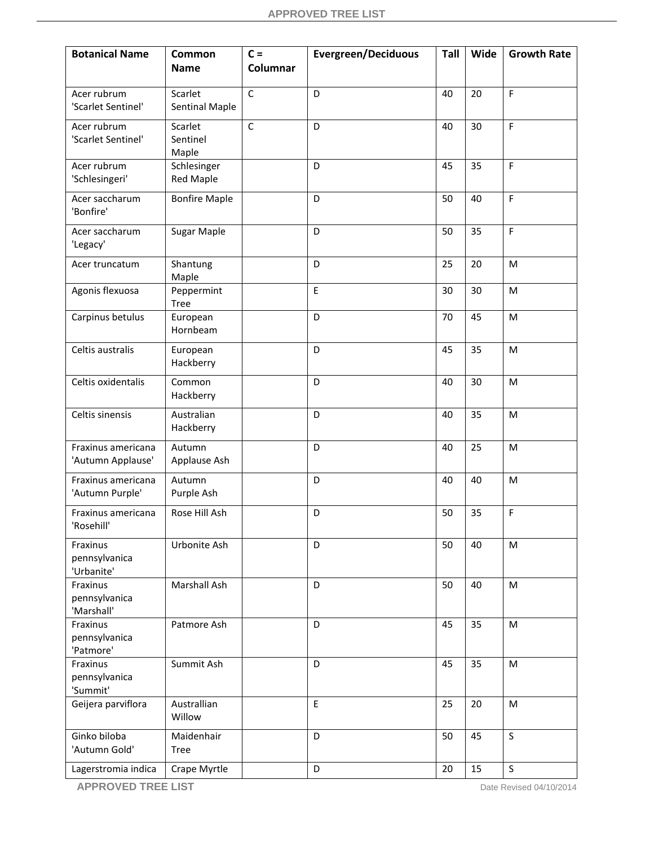| <b>Botanical Name</b>                   | Common<br><b>Name</b>           | $C =$<br><b>Columnar</b> | <b>Evergreen/Deciduous</b> | Tall | Wide | <b>Growth Rate</b> |
|-----------------------------------------|---------------------------------|--------------------------|----------------------------|------|------|--------------------|
| Acer rubrum                             | Scarlet                         | $\mathsf C$              | D                          | 40   | 20   | F                  |
| 'Scarlet Sentinel'                      | <b>Sentinal Maple</b>           |                          |                            |      |      |                    |
| Acer rubrum<br>'Scarlet Sentinel'       | Scarlet<br>Sentinel<br>Maple    | $\overline{C}$           | D                          | 40   | 30   | F                  |
| Acer rubrum<br>'Schlesingeri'           | Schlesinger<br><b>Red Maple</b> |                          | D                          | 45   | 35   | F                  |
| Acer saccharum<br>'Bonfire'             | <b>Bonfire Maple</b>            |                          | D                          | 50   | 40   | F                  |
| Acer saccharum<br>'Legacy'              | <b>Sugar Maple</b>              |                          | D                          | 50   | 35   | F                  |
| Acer truncatum                          | Shantung<br>Maple               |                          | D                          | 25   | 20   | M                  |
| Agonis flexuosa                         | Peppermint<br><b>Tree</b>       |                          | $\mathsf E$                | 30   | 30   | M                  |
| Carpinus betulus                        | European<br>Hornbeam            |                          | D                          | 70   | 45   | M                  |
| Celtis australis                        | European<br>Hackberry           |                          | D                          | 45   | 35   | M                  |
| Celtis oxidentalis                      | Common<br>Hackberry             |                          | D                          | 40   | 30   | M                  |
| Celtis sinensis                         | Australian<br>Hackberry         |                          | D                          | 40   | 35   | M                  |
| Fraxinus americana<br>'Autumn Applause' | Autumn<br>Applause Ash          |                          | D                          | 40   | 25   | M                  |
| Fraxinus americana<br>'Autumn Purple'   | Autumn<br>Purple Ash            |                          | D                          | 40   | 40   | M                  |
| Fraxinus americana<br>'Rosehill'        | Rose Hill Ash                   |                          | D                          | 50   | 35   | F                  |
| Fraxinus<br>pennsylvanica<br>'Urbanite' | Urbonite Ash                    |                          | D                          | 50   | 40   | M                  |
| Fraxinus<br>pennsylvanica<br>'Marshall' | Marshall Ash                    |                          | D                          | 50   | 40   | M                  |
| Fraxinus<br>pennsylvanica<br>'Patmore'  | Patmore Ash                     |                          | D                          | 45   | 35   | M                  |
| Fraxinus<br>pennsylvanica<br>'Summit'   | Summit Ash                      |                          | D                          | 45   | 35   | M                  |
| Geijera parviflora                      | Australlian<br>Willow           |                          | $\mathsf E$                | 25   | 20   | M                  |
| Ginko biloba<br>'Autumn Gold'           | Maidenhair<br><b>Tree</b>       |                          | D                          | 50   | 45   | $\mathsf{S}$       |
| Lagerstromia indica                     | Crape Myrtle                    |                          | D                          | 20   | 15   | S                  |

**APPROVED TREE LIST** Date Revised 04/10/2014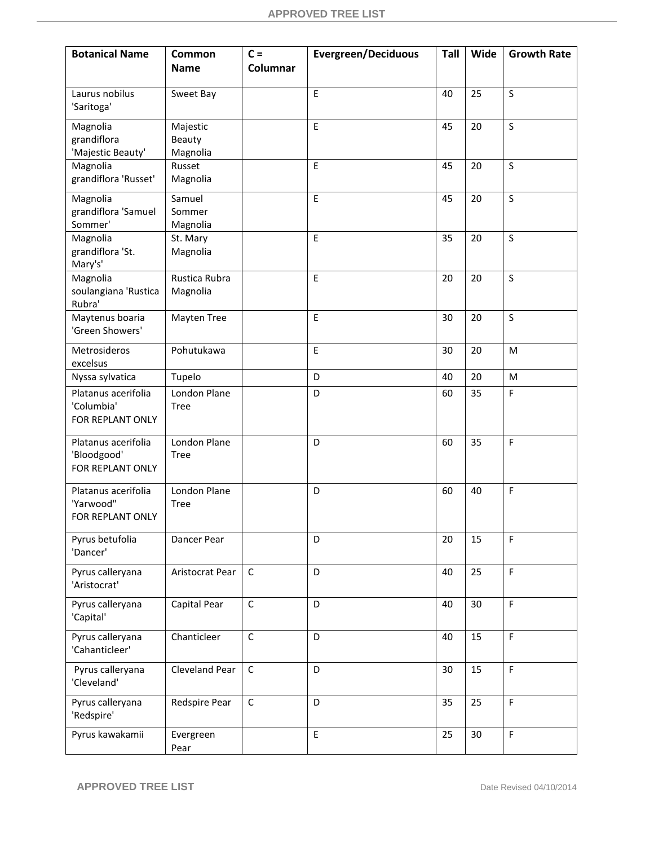| <b>Botanical Name</b>              | Common<br><b>Name</b>       | $C =$<br>Columnar | <b>Evergreen/Deciduous</b> | Tall | Wide | <b>Growth Rate</b> |
|------------------------------------|-----------------------------|-------------------|----------------------------|------|------|--------------------|
|                                    |                             |                   |                            |      |      |                    |
| Laurus nobilus<br>'Saritoga'       | Sweet Bay                   |                   | E                          | 40   | 25   | S                  |
| Magnolia                           | Majestic                    |                   | E                          | 45   | 20   | S                  |
| grandiflora<br>'Majestic Beauty'   | Beauty<br>Magnolia          |                   |                            |      |      |                    |
| Magnolia                           | Russet                      |                   | E                          | 45   | 20   | $\mathsf{S}$       |
| grandiflora 'Russet'               | Magnolia                    |                   |                            |      |      |                    |
| Magnolia                           | Samuel                      |                   | E                          | 45   | 20   | S                  |
| grandiflora 'Samuel                | Sommer                      |                   |                            |      |      |                    |
| Sommer'<br>Magnolia                | Magnolia<br>St. Mary        |                   | E                          | 35   | 20   | $\mathsf{S}$       |
| grandiflora 'St.                   | Magnolia                    |                   |                            |      |      |                    |
| Mary's'                            |                             |                   |                            |      |      |                    |
| Magnolia                           | Rustica Rubra               |                   | E                          | 20   | 20   | S                  |
| soulangiana 'Rustica<br>Rubra'     | Magnolia                    |                   |                            |      |      |                    |
| Maytenus boaria                    | Mayten Tree                 |                   | E                          | 30   | 20   | $\mathsf{S}$       |
| 'Green Showers'                    |                             |                   |                            |      |      |                    |
| Metrosideros                       | Pohutukawa                  |                   | $\mathsf E$                | 30   | 20   | M                  |
| excelsus                           |                             |                   |                            |      |      |                    |
| Nyssa sylvatica                    | Tupelo                      |                   | D                          | 40   | 20   | M                  |
| Platanus acerifolia<br>'Columbia'  | London Plane<br><b>Tree</b> |                   | D                          | 60   | 35   | F                  |
| FOR REPLANT ONLY                   |                             |                   |                            |      |      |                    |
|                                    |                             |                   |                            |      |      |                    |
| Platanus acerifolia<br>'Bloodgood' | London Plane<br><b>Tree</b> |                   | D                          | 60   | 35   | $\mathsf F$        |
| FOR REPLANT ONLY                   |                             |                   |                            |      |      |                    |
| Platanus acerifolia                | London Plane                |                   | D                          | 60   | 40   | F                  |
| 'Yarwood"                          | <b>Tree</b>                 |                   |                            |      |      |                    |
| FOR REPLANT ONLY                   |                             |                   |                            |      |      |                    |
| Pyrus betufolia                    | Dancer Pear                 |                   | D                          | 20   | 15   | F                  |
| 'Dancer'                           |                             |                   |                            |      |      |                    |
| Pyrus calleryana                   | Aristocrat Pear             | $\mathsf{C}$      | D                          | 40   | 25   | F                  |
| 'Aristocrat'                       |                             |                   |                            |      |      |                    |
| Pyrus calleryana                   | Capital Pear                | $\mathsf C$       | D                          | 40   | 30   | F.                 |
| 'Capital'                          |                             |                   |                            |      |      |                    |
| Pyrus calleryana                   | Chanticleer                 | $\mathsf C$       | D                          | 40   | 15   | $\mathsf F$        |
| 'Cahanticleer'                     |                             |                   |                            |      |      |                    |
| Pyrus calleryana                   | Cleveland Pear              | $\mathsf C$       | D                          | 30   | 15   | $\mathsf F$        |
| 'Cleveland'                        |                             |                   |                            |      |      |                    |
| Pyrus calleryana                   | Redspire Pear               | $\mathsf C$       | D                          | 35   | 25   | F                  |
| 'Redspire'                         |                             |                   |                            |      |      |                    |
| Pyrus kawakamii                    | Evergreen                   |                   | $\mathsf E$                | 25   | 30   | F                  |
|                                    | Pear                        |                   |                            |      |      |                    |